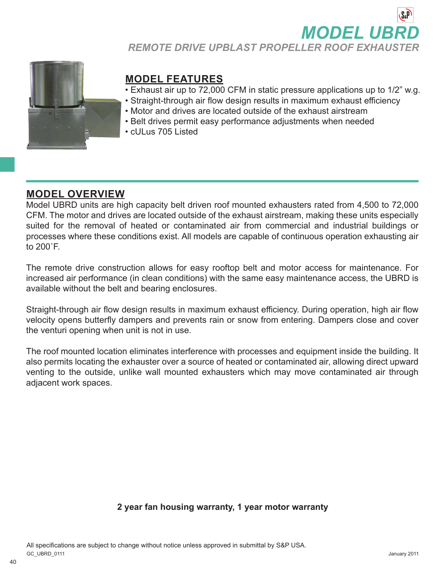**MODEL UB** *REMOTE DRIVE UPBLAST PROPELLER ROOF EXHAUSTER*



# **MODEL FEATURES**

- Exhaust air up to 72,000 CFM in static pressure applications up to 1/2" w.g.
- Straight-through air flow design results in maximum exhaust efficiency
- Motor and drives are located outside of the exhaust airstream
- Belt drives permit easy performance adjustments when needed
- cULus 705 Listed

# **MODEL OVERVIEW**

Model UBRD units are high capacity belt driven roof mounted exhausters rated from 4,500 to 72,000 CFM. The motor and drives are located outside of the exhaust airstream, making these units especially suited for the removal of heated or contaminated air from commercial and industrial buildings or processes where these conditions exist. All models are capable of continuous operation exhausting air to 200˚F.

The remote drive construction allows for easy rooftop belt and motor access for maintenance. For increased air performance (in clean conditions) with the same easy maintenance access, the UBRD is available without the belt and bearing enclosures.

Straight-through air flow design results in maximum exhaust efficiency. During operation, high air flow velocity opens butterfly dampers and prevents rain or snow from entering. Dampers close and cover the venturi opening when unit is not in use.

The roof mounted location eliminates interference with processes and equipment inside the building. It also permits locating the exhauster over a source of heated or contaminated air, allowing direct upward venting to the outside, unlike wall mounted exhausters which may move contaminated air through adjacent work spaces.

#### **2 year fan housing warranty, 1 year motor warranty**

All specifications are subject to change without notice unless approved in submittal by S&P USA. GC\_UBRD\_0111 January 2011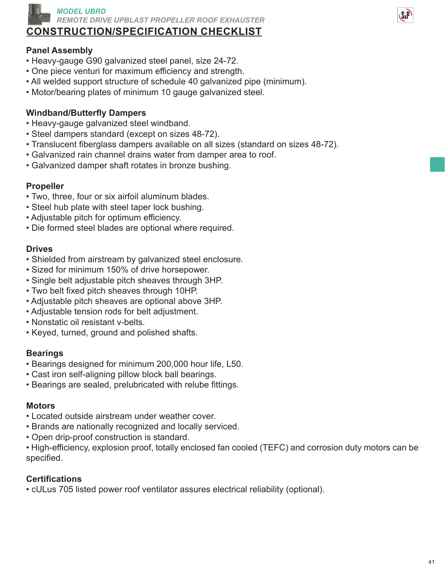

# **CONSTRUCTION/SPECIFICATION CHECKLIST**

## **Panel Assembly**

- Heavy-gauge G90 galvanized steel panel, size 24-72.
- One piece venturi for maximum efficiency and strength.
- All welded support structure of schedule 40 galvanized pipe (minimum).
- Motor/bearing plates of minimum 10 gauge galvanized steel.

## **Windband/Butterfly Dampers**

- Heavy-gauge galvanized steel windband.
- Steel dampers standard (except on sizes 48-72).
- Translucent fiberglass dampers available on all sizes (standard on sizes 48-72).
- Galvanized rain channel drains water from damper area to roof.
- Galvanized damper shaft rotates in bronze bushing.

#### **Propeller**

- Two, three, four or six airfoil aluminum blades.
- Steel hub plate with steel taper lock bushing.
- Adjustable pitch for optimum efficiency.
- Die formed steel blades are optional where required.

#### **Drives**

- Shielded from airstream by galvanized steel enclosure.
- Sized for minimum 150% of drive horsepower.
- Single belt adjustable pitch sheaves through 3HP.
- Two belt fixed pitch sheaves through 10HP.
- Adjustable pitch sheaves are optional above 3HP.
- Adjustable tension rods for belt adjustment.
- Nonstatic oil resistant v-belts.
- Keyed, turned, ground and polished shafts.

## **Bearings**

- Bearings designed for minimum 200,000 hour life, L50.
- Cast iron self-aligning pillow block ball bearings.
- Bearings are sealed, prelubricated with relube fittings.

#### **Motors**

- Located outside airstream under weather cover.
- Brands are nationally recognized and locally serviced.
- Open drip-proof construction is standard.

• High-efficiency, explosion proof, totally enclosed fan cooled (TEFC) and corrosion duty motors can be specified.

#### **Certifications**

• cULus 705 listed power roof ventilator assures electrical reliability (optional).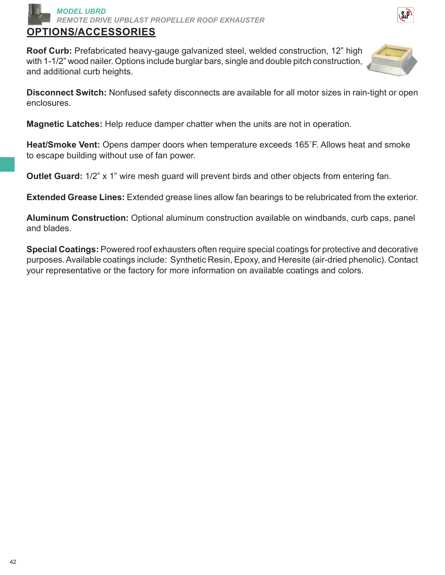

## **OPTIONS/ACCESSORIES**

**Roof Curb:** Prefabricated heavy-gauge galvanized steel, welded construction, 12" high with 1-1/2" wood nailer. Options include burglar bars, single and double pitch construction, and additional curb heights.



**Disconnect Switch:** Nonfused safety disconnects are available for all motor sizes in rain-tight or open enclosures.

**Magnetic Latches:** Help reduce damper chatter when the units are not in operation.

**Heat/Smoke Vent:** Opens damper doors when temperature exceeds 165˚F. Allows heat and smoke to escape building without use of fan power.

**Outlet Guard:** 1/2" x 1" wire mesh guard will prevent birds and other objects from entering fan.

**Extended Grease Lines:** Extended grease lines allow fan bearings to be relubricated from the exterior.

**Aluminum Construction:** Optional aluminum construction available on windbands, curb caps, panel and blades.

**Special Coatings:** Powered roof exhausters often require special coatings for protective and decorative purposes. Available coatings include: Synthetic Resin, Epoxy, and Heresite (air-dried phenolic). Contact your representative or the factory for more information on available coatings and colors.